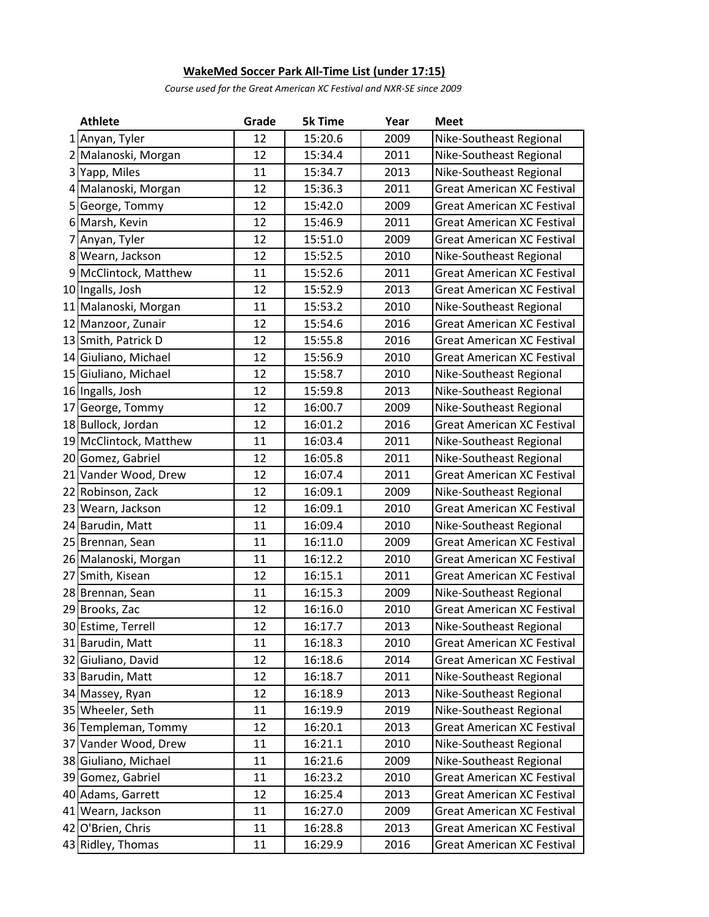## **WakeMed Soccer Park All-Time List (under 17:15)**

*Course used for the Great American XC Festival and NXR-SE since 2009*

| <b>Athlete</b>         | Grade | <b>5k Time</b> | Year | <b>Meet</b>                       |
|------------------------|-------|----------------|------|-----------------------------------|
| 1 Anyan, Tyler         | 12    | 15:20.6        | 2009 | Nike-Southeast Regional           |
| 2 Malanoski, Morgan    | 12    | 15:34.4        | 2011 | Nike-Southeast Regional           |
| 3 Yapp, Miles          | 11    | 15:34.7        | 2013 | Nike-Southeast Regional           |
| 4 Malanoski, Morgan    | 12    | 15:36.3        | 2011 | <b>Great American XC Festival</b> |
| 5 George, Tommy        | 12    | 15:42.0        | 2009 | <b>Great American XC Festival</b> |
| 6 Marsh, Kevin         | 12    | 15:46.9        | 2011 | <b>Great American XC Festival</b> |
| 7 Anyan, Tyler         | 12    | 15:51.0        | 2009 | <b>Great American XC Festival</b> |
| 8 Wearn, Jackson       | 12    | 15:52.5        | 2010 | Nike-Southeast Regional           |
| 9 McClintock, Matthew  | 11    | 15:52.6        | 2011 | <b>Great American XC Festival</b> |
| 10 Ingalls, Josh       | 12    | 15:52.9        | 2013 | <b>Great American XC Festival</b> |
| 11 Malanoski, Morgan   | 11    | 15:53.2        | 2010 | Nike-Southeast Regional           |
| 12 Manzoor, Zunair     | 12    | 15:54.6        | 2016 | <b>Great American XC Festival</b> |
| 13 Smith, Patrick D    | 12    | 15:55.8        | 2016 | <b>Great American XC Festival</b> |
| 14 Giuliano, Michael   | 12    | 15:56.9        | 2010 | <b>Great American XC Festival</b> |
| 15 Giuliano, Michael   | 12    | 15:58.7        | 2010 | Nike-Southeast Regional           |
| 16 Ingalls, Josh       | 12    | 15:59.8        | 2013 | Nike-Southeast Regional           |
| 17 George, Tommy       | 12    | 16:00.7        | 2009 | Nike-Southeast Regional           |
| 18 Bullock, Jordan     | 12    | 16:01.2        | 2016 | <b>Great American XC Festival</b> |
| 19 McClintock, Matthew | 11    | 16:03.4        | 2011 | Nike-Southeast Regional           |
| 20 Gomez, Gabriel      | 12    | 16:05.8        | 2011 | Nike-Southeast Regional           |
| 21 Vander Wood, Drew   | 12    | 16:07.4        | 2011 | <b>Great American XC Festival</b> |
| 22 Robinson, Zack      | 12    | 16:09.1        | 2009 | Nike-Southeast Regional           |
| 23 Wearn, Jackson      | 12    | 16:09.1        | 2010 | <b>Great American XC Festival</b> |
| 24 Barudin, Matt       | 11    | 16:09.4        | 2010 | Nike-Southeast Regional           |
| 25 Brennan, Sean       | 11    | 16:11.0        | 2009 | <b>Great American XC Festival</b> |
| 26 Malanoski, Morgan   | 11    | 16:12.2        | 2010 | <b>Great American XC Festival</b> |
| 27 Smith, Kisean       | 12    | 16:15.1        | 2011 | <b>Great American XC Festival</b> |
| 28 Brennan, Sean       | 11    | 16:15.3        | 2009 | Nike-Southeast Regional           |
| 29 Brooks, Zac         | 12    | 16:16.0        | 2010 | <b>Great American XC Festival</b> |
| 30 Estime, Terrell     | 12    | 16:17.7        | 2013 | Nike-Southeast Regional           |
| 31 Barudin, Matt       | 11    | 16:18.3        | 2010 | <b>Great American XC Festival</b> |
| 32 Giuliano, David     | 12    | 16:18.6        | 2014 | <b>Great American XC Festival</b> |
| 33 Barudin, Matt       | 12    | 16:18.7        | 2011 | Nike-Southeast Regional           |
| 34 Massey, Ryan        | 12    | 16:18.9        | 2013 | Nike-Southeast Regional           |
| 35 Wheeler, Seth       | 11    | 16:19.9        | 2019 | Nike-Southeast Regional           |
| 36 Templeman, Tommy    | 12    | 16:20.1        | 2013 | <b>Great American XC Festival</b> |
| 37 Vander Wood, Drew   | 11    | 16:21.1        | 2010 | Nike-Southeast Regional           |
| 38 Giuliano, Michael   | 11    | 16:21.6        | 2009 | Nike-Southeast Regional           |
| 39 Gomez, Gabriel      | 11    | 16:23.2        | 2010 | <b>Great American XC Festival</b> |
| 40 Adams, Garrett      | 12    | 16:25.4        | 2013 | <b>Great American XC Festival</b> |
| 41 Wearn, Jackson      | 11    | 16:27.0        | 2009 | <b>Great American XC Festival</b> |
| 42 O'Brien, Chris      | 11    | 16:28.8        | 2013 | <b>Great American XC Festival</b> |
| 43 Ridley, Thomas      | 11    | 16:29.9        | 2016 | <b>Great American XC Festival</b> |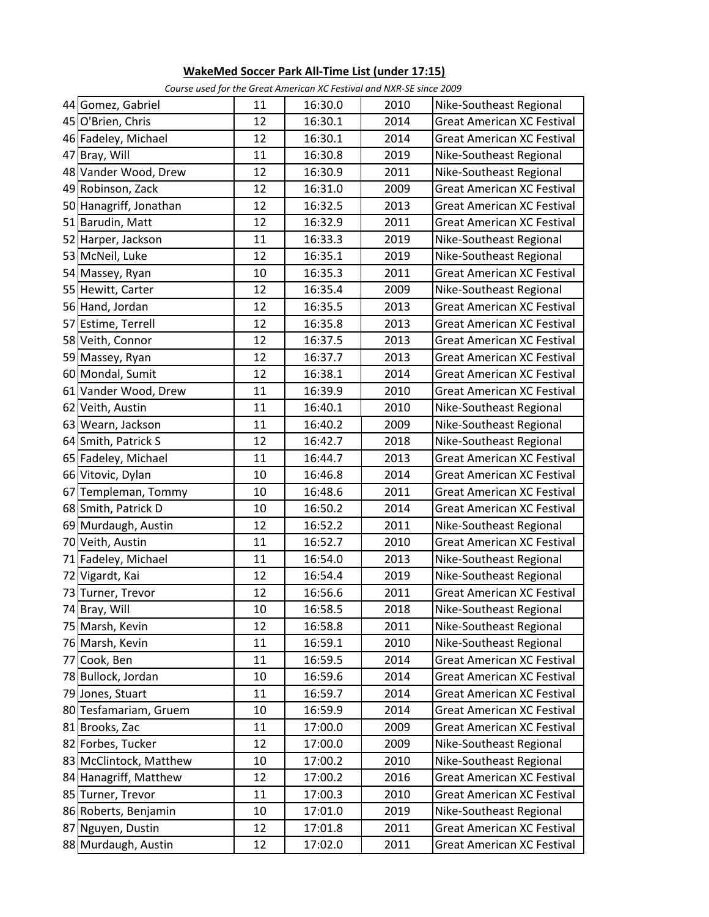## **WakeMed Soccer Park All-Time List (under 17:15)**

|                        |        | Course ascargor the Oreat Annenean Action value in the Build Zoos |      |                                   |
|------------------------|--------|-------------------------------------------------------------------|------|-----------------------------------|
| 44 Gomez, Gabriel      | 11     | 16:30.0                                                           | 2010 | Nike-Southeast Regional           |
| 45 O'Brien, Chris      | 12     | 16:30.1                                                           | 2014 | <b>Great American XC Festival</b> |
| 46 Fadeley, Michael    | 12     | 16:30.1                                                           | 2014 | <b>Great American XC Festival</b> |
| 47 Bray, Will          | 11     | 16:30.8                                                           | 2019 | Nike-Southeast Regional           |
| 48 Vander Wood, Drew   | 12     | 16:30.9                                                           | 2011 | Nike-Southeast Regional           |
| 49 Robinson, Zack      | 12     | 16:31.0                                                           | 2009 | <b>Great American XC Festival</b> |
| 50 Hanagriff, Jonathan | 12     | 16:32.5                                                           | 2013 | <b>Great American XC Festival</b> |
| 51 Barudin, Matt       | 12     | 16:32.9                                                           | 2011 | <b>Great American XC Festival</b> |
| 52 Harper, Jackson     | 11     | 16:33.3                                                           | 2019 | Nike-Southeast Regional           |
| 53 McNeil, Luke        | 12     | 16:35.1                                                           | 2019 | Nike-Southeast Regional           |
| 54 Massey, Ryan        | 10     | 16:35.3                                                           | 2011 | <b>Great American XC Festival</b> |
| 55 Hewitt, Carter      | 12     | 16:35.4                                                           | 2009 | Nike-Southeast Regional           |
| 56 Hand, Jordan        | 12     | 16:35.5                                                           | 2013 | <b>Great American XC Festival</b> |
| 57 Estime, Terrell     | 12     | 16:35.8                                                           | 2013 | <b>Great American XC Festival</b> |
| 58 Veith, Connor       | 12     | 16:37.5                                                           | 2013 | <b>Great American XC Festival</b> |
| 59 Massey, Ryan        | 12     | 16:37.7                                                           | 2013 | <b>Great American XC Festival</b> |
| 60 Mondal, Sumit       | 12     | 16:38.1                                                           | 2014 | <b>Great American XC Festival</b> |
| 61 Vander Wood, Drew   | 11     | 16:39.9                                                           | 2010 | <b>Great American XC Festival</b> |
| 62 Veith, Austin       | 11     | 16:40.1                                                           | 2010 | Nike-Southeast Regional           |
| 63 Wearn, Jackson      | 11     | 16:40.2                                                           | 2009 | Nike-Southeast Regional           |
| 64 Smith, Patrick S    | 12     | 16:42.7                                                           | 2018 | Nike-Southeast Regional           |
| 65 Fadeley, Michael    | 11     | 16:44.7                                                           | 2013 | <b>Great American XC Festival</b> |
| 66 Vitovic, Dylan      | 10     | 16:46.8                                                           | 2014 | <b>Great American XC Festival</b> |
| 67 Templeman, Tommy    | 10     | 16:48.6                                                           | 2011 | <b>Great American XC Festival</b> |
| 68 Smith, Patrick D    | 10     | 16:50.2                                                           | 2014 | <b>Great American XC Festival</b> |
| 69 Murdaugh, Austin    | 12     | 16:52.2                                                           | 2011 | Nike-Southeast Regional           |
| 70 Veith, Austin       | 11     | 16:52.7                                                           | 2010 | <b>Great American XC Festival</b> |
| 71 Fadeley, Michael    | 11     | 16:54.0                                                           | 2013 | Nike-Southeast Regional           |
| 72 Vigardt, Kai        | 12     | 16:54.4                                                           | 2019 | Nike-Southeast Regional           |
| 73 Turner, Trevor      | 12     | 16:56.6                                                           | 2011 | <b>Great American XC Festival</b> |
| 74 Bray, Will          | 10     | 16:58.5                                                           | 2018 | Nike-Southeast Regional           |
| 75 Marsh, Kevin        | 12     | 16:58.8                                                           | 2011 | Nike-Southeast Regional           |
| 76 Marsh, Kevin        | 11     | 16:59.1                                                           | 2010 | Nike-Southeast Regional           |
| 77 Cook, Ben           | 11     | 16:59.5                                                           | 2014 | <b>Great American XC Festival</b> |
| 78 Bullock, Jordan     | 10     | 16:59.6                                                           | 2014 | <b>Great American XC Festival</b> |
| 79 Jones, Stuart       | $11\,$ | 16:59.7                                                           | 2014 | <b>Great American XC Festival</b> |
| 80 Tesfamariam, Gruem  | 10     | 16:59.9                                                           | 2014 | <b>Great American XC Festival</b> |
| 81 Brooks, Zac         | 11     | 17:00.0                                                           | 2009 | <b>Great American XC Festival</b> |
| 82 Forbes, Tucker      | 12     | 17:00.0                                                           | 2009 | Nike-Southeast Regional           |
| 83 McClintock, Matthew | 10     | 17:00.2                                                           | 2010 | Nike-Southeast Regional           |
| 84 Hanagriff, Matthew  | 12     | 17:00.2                                                           | 2016 | <b>Great American XC Festival</b> |
| 85 Turner, Trevor      | 11     | 17:00.3                                                           | 2010 | <b>Great American XC Festival</b> |
| 86 Roberts, Benjamin   | 10     | 17:01.0                                                           | 2019 | Nike-Southeast Regional           |
| 87 Nguyen, Dustin      | 12     | 17:01.8                                                           | 2011 | <b>Great American XC Festival</b> |
| 88 Murdaugh, Austin    | 12     | 17:02.0                                                           | 2011 | <b>Great American XC Festival</b> |

*Course used for the Great American XC Festival and NXR-SE since 2009*